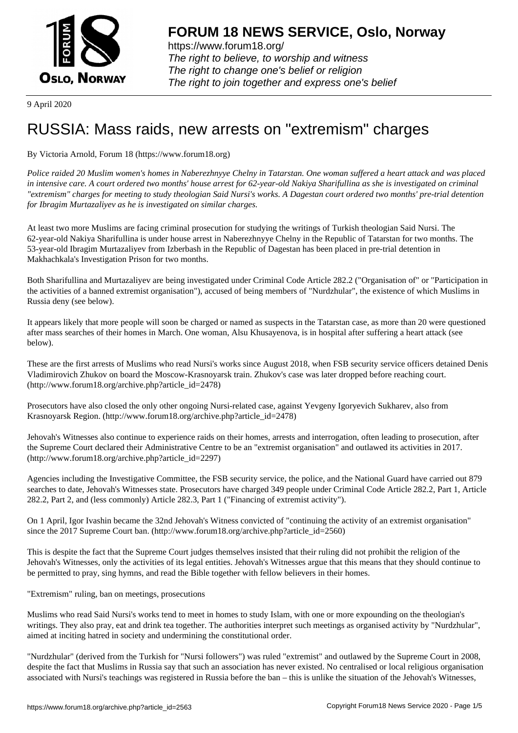

https://www.forum18.org/ The right to believe, to worship and witness The right to change one's belief or religion [The right to join together a](https://www.forum18.org/)nd express one's belief

9 April 2020

## [RUSSIA: Mass](https://www.forum18.org) raids, new arrests on "extremism" charges

By Victoria Arnold, Forum 18 (https://www.forum18.org)

*Police raided 20 Muslim women's homes in Naberezhnyye Chelny in Tatarstan. One woman suffered a heart attack and was placed in intensive care. A court ordered two months' house arrest for 62-year-old Nakiya Sharifullina as she is investigated on criminal "extremism" charges for meeting to study theologian Said Nursi's works. A Dagestan court ordered two months' pre-trial detention for Ibragim Murtazaliyev as he is investigated on similar charges.*

At least two more Muslims are facing criminal prosecution for studying the writings of Turkish theologian Said Nursi. The 62-year-old Nakiya Sharifullina is under house arrest in Naberezhnyye Chelny in the Republic of Tatarstan for two months. The 53-year-old Ibragim Murtazaliyev from Izberbash in the Republic of Dagestan has been placed in pre-trial detention in Makhachkala's Investigation Prison for two months.

Both Sharifullina and Murtazaliyev are being investigated under Criminal Code Article 282.2 ("Organisation of" or "Participation in the activities of a banned extremist organisation"), accused of being members of "Nurdzhular", the existence of which Muslims in Russia deny (see below).

It appears likely that more people will soon be charged or named as suspects in the Tatarstan case, as more than 20 were questioned after mass searches of their homes in March. One woman, Alsu Khusayenova, is in hospital after suffering a heart attack (see below).

These are the first arrests of Muslims who read Nursi's works since August 2018, when FSB security service officers detained Denis Vladimirovich Zhukov on board the Moscow-Krasnoyarsk train. Zhukov's case was later dropped before reaching court. (http://www.forum18.org/archive.php?article\_id=2478)

Prosecutors have also closed the only other ongoing Nursi-related case, against Yevgeny Igoryevich Sukharev, also from Krasnoyarsk Region. (http://www.forum18.org/archive.php?article\_id=2478)

Jehovah's Witnesses also continue to experience raids on their homes, arrests and interrogation, often leading to prosecution, after the Supreme Court declared their Administrative Centre to be an "extremist organisation" and outlawed its activities in 2017. (http://www.forum18.org/archive.php?article\_id=2297)

Agencies including the Investigative Committee, the FSB security service, the police, and the National Guard have carried out 879 searches to date, Jehovah's Witnesses state. Prosecutors have charged 349 people under Criminal Code Article 282.2, Part 1, Article 282.2, Part 2, and (less commonly) Article 282.3, Part 1 ("Financing of extremist activity").

On 1 April, Igor Ivashin became the 32nd Jehovah's Witness convicted of "continuing the activity of an extremist organisation" since the 2017 Supreme Court ban. (http://www.forum18.org/archive.php?article\_id=2560)

This is despite the fact that the Supreme Court judges themselves insisted that their ruling did not prohibit the religion of the Jehovah's Witnesses, only the activities of its legal entities. Jehovah's Witnesses argue that this means that they should continue to be permitted to pray, sing hymns, and read the Bible together with fellow believers in their homes.

"Extremism" ruling, ban on meetings, prosecutions

Muslims who read Said Nursi's works tend to meet in homes to study Islam, with one or more expounding on the theologian's writings. They also pray, eat and drink tea together. The authorities interpret such meetings as organised activity by "Nurdzhular", aimed at inciting hatred in society and undermining the constitutional order.

"Nurdzhular" (derived from the Turkish for "Nursi followers") was ruled "extremist" and outlawed by the Supreme Court in 2008, despite the fact that Muslims in Russia say that such an association has never existed. No centralised or local religious organisation associated with Nursi's teachings was registered in Russia before the ban – this is unlike the situation of the Jehovah's Witnesses,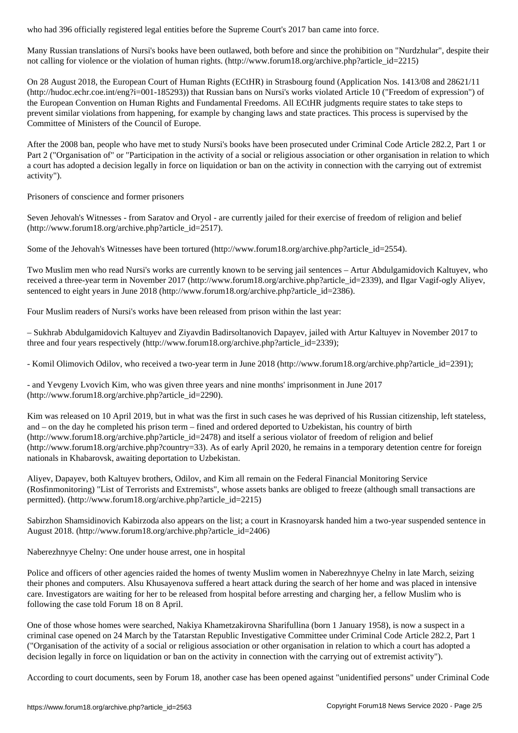Many Russian translations of Nursi's books have been outlawed, both before and since the prohibition on "Nurdzhular", despite their not calling for violence or the violation of human rights. (http://www.forum18.org/archive.php?article\_id=2215)

On 28 August 2018, the European Court of Human Rights (ECtHR) in Strasbourg found (Application Nos. 1413/08 and 28621/11 (http://hudoc.echr.coe.int/eng?i=001-185293)) that Russian bans on Nursi's works violated Article 10 ("Freedom of expression") of the European Convention on Human Rights and Fundamental Freedoms. All ECtHR judgments require states to take steps to prevent similar violations from happening, for example by changing laws and state practices. This process is supervised by the Committee of Ministers of the Council of Europe.

After the 2008 ban, people who have met to study Nursi's books have been prosecuted under Criminal Code Article 282.2, Part 1 or Part 2 ("Organisation of" or "Participation in the activity of a social or religious association or other organisation in relation to which a court has adopted a decision legally in force on liquidation or ban on the activity in connection with the carrying out of extremist activity").

Prisoners of conscience and former prisoners

Seven Jehovah's Witnesses - from Saratov and Oryol - are currently jailed for their exercise of freedom of religion and belief (http://www.forum18.org/archive.php?article\_id=2517).

Some of the Jehovah's Witnesses have been tortured (http://www.forum18.org/archive.php?article\_id=2554).

Two Muslim men who read Nursi's works are currently known to be serving jail sentences – Artur Abdulgamidovich Kaltuyev, who received a three-year term in November 2017 (http://www.forum18.org/archive.php?article\_id=2339), and Ilgar Vagif-ogly Aliyev, sentenced to eight years in June 2018 (http://www.forum18.org/archive.php?article\_id=2386).

Four Muslim readers of Nursi's works have been released from prison within the last year:

– Sukhrab Abdulgamidovich Kaltuyev and Ziyavdin Badirsoltanovich Dapayev, jailed with Artur Kaltuyev in November 2017 to three and four years respectively (http://www.forum18.org/archive.php?article\_id=2339);

- Komil Olimovich Odilov, who received a two-year term in June 2018 (http://www.forum18.org/archive.php?article\_id=2391);

- and Yevgeny Lvovich Kim, who was given three years and nine months' imprisonment in June 2017 (http://www.forum18.org/archive.php?article\_id=2290).

Kim was released on 10 April 2019, but in what was the first in such cases he was deprived of his Russian citizenship, left stateless, and – on the day he completed his prison term – fined and ordered deported to Uzbekistan, his country of birth (http://www.forum18.org/archive.php?article\_id=2478) and itself a serious violator of freedom of religion and belief (http://www.forum18.org/archive.php?country=33). As of early April 2020, he remains in a temporary detention centre for foreign nationals in Khabarovsk, awaiting deportation to Uzbekistan.

Aliyev, Dapayev, both Kaltuyev brothers, Odilov, and Kim all remain on the Federal Financial Monitoring Service (Rosfinmonitoring) "List of Terrorists and Extremists", whose assets banks are obliged to freeze (although small transactions are permitted). (http://www.forum18.org/archive.php?article\_id=2215)

Sabirzhon Shamsidinovich Kabirzoda also appears on the list; a court in Krasnoyarsk handed him a two-year suspended sentence in August 2018. (http://www.forum18.org/archive.php?article\_id=2406)

Naberezhnyye Chelny: One under house arrest, one in hospital

Police and officers of other agencies raided the homes of twenty Muslim women in Naberezhnyye Chelny in late March, seizing their phones and computers. Alsu Khusayenova suffered a heart attack during the search of her home and was placed in intensive care. Investigators are waiting for her to be released from hospital before arresting and charging her, a fellow Muslim who is following the case told Forum 18 on 8 April.

One of those whose homes were searched, Nakiya Khametzakirovna Sharifullina (born 1 January 1958), is now a suspect in a criminal case opened on 24 March by the Tatarstan Republic Investigative Committee under Criminal Code Article 282.2, Part 1 ("Organisation of the activity of a social or religious association or other organisation in relation to which a court has adopted a decision legally in force on liquidation or ban on the activity in connection with the carrying out of extremist activity").

According to court documents, seen by Forum 18, another case has been opened against "unidentified persons" under Criminal Code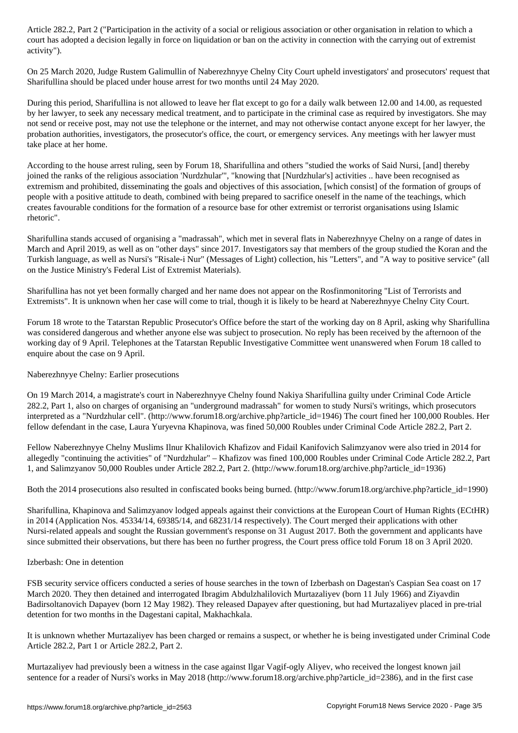court has adopted a decision legally in force on the activity in connection with the activity in connection with the activity in connection with the carrying out of extremistic or extremistic out of extremistic out of extr activity").

On 25 March 2020, Judge Rustem Galimullin of Naberezhnyye Chelny City Court upheld investigators' and prosecutors' request that Sharifullina should be placed under house arrest for two months until 24 May 2020.

During this period, Sharifullina is not allowed to leave her flat except to go for a daily walk between 12.00 and 14.00, as requested by her lawyer, to seek any necessary medical treatment, and to participate in the criminal case as required by investigators. She may not send or receive post, may not use the telephone or the internet, and may not otherwise contact anyone except for her lawyer, the probation authorities, investigators, the prosecutor's office, the court, or emergency services. Any meetings with her lawyer must take place at her home.

According to the house arrest ruling, seen by Forum 18, Sharifullina and others "studied the works of Said Nursi, [and] thereby joined the ranks of the religious association 'Nurdzhular'", "knowing that [Nurdzhular's] activities .. have been recognised as extremism and prohibited, disseminating the goals and objectives of this association, [which consist] of the formation of groups of people with a positive attitude to death, combined with being prepared to sacrifice oneself in the name of the teachings, which creates favourable conditions for the formation of a resource base for other extremist or terrorist organisations using Islamic rhetoric".

Sharifullina stands accused of organising a "madrassah", which met in several flats in Naberezhnyye Chelny on a range of dates in March and April 2019, as well as on "other days" since 2017. Investigators say that members of the group studied the Koran and the Turkish language, as well as Nursi's "Risale-i Nur" (Messages of Light) collection, his "Letters", and "A way to positive service" (all on the Justice Ministry's Federal List of Extremist Materials).

Sharifullina has not yet been formally charged and her name does not appear on the Rosfinmonitoring "List of Terrorists and Extremists". It is unknown when her case will come to trial, though it is likely to be heard at Naberezhnyye Chelny City Court.

Forum 18 wrote to the Tatarstan Republic Prosecutor's Office before the start of the working day on 8 April, asking why Sharifullina was considered dangerous and whether anyone else was subject to prosecution. No reply has been received by the afternoon of the working day of 9 April. Telephones at the Tatarstan Republic Investigative Committee went unanswered when Forum 18 called to enquire about the case on 9 April.

## Naberezhnyye Chelny: Earlier prosecutions

On 19 March 2014, a magistrate's court in Naberezhnyye Chelny found Nakiya Sharifullina guilty under Criminal Code Article 282.2, Part 1, also on charges of organising an "underground madrassah" for women to study Nursi's writings, which prosecutors interpreted as a "Nurdzhular cell". (http://www.forum18.org/archive.php?article\_id=1946) The court fined her 100,000 Roubles. Her fellow defendant in the case, Laura Yuryevna Khapinova, was fined 50,000 Roubles under Criminal Code Article 282.2, Part 2.

Fellow Naberezhnyye Chelny Muslims Ilnur Khalilovich Khafizov and Fidail Kanifovich Salimzyanov were also tried in 2014 for allegedly "continuing the activities" of "Nurdzhular" – Khafizov was fined 100,000 Roubles under Criminal Code Article 282.2, Part 1, and Salimzyanov 50,000 Roubles under Article 282.2, Part 2. (http://www.forum18.org/archive.php?article\_id=1936)

Both the 2014 prosecutions also resulted in confiscated books being burned. (http://www.forum18.org/archive.php?article\_id=1990)

Sharifullina, Khapinova and Salimzyanov lodged appeals against their convictions at the European Court of Human Rights (ECtHR) in 2014 (Application Nos. 45334/14, 69385/14, and 68231/14 respectively). The Court merged their applications with other Nursi-related appeals and sought the Russian government's response on 31 August 2017. Both the government and applicants have since submitted their observations, but there has been no further progress, the Court press office told Forum 18 on 3 April 2020.

## Izberbash: One in detention

FSB security service officers conducted a series of house searches in the town of Izberbash on Dagestan's Caspian Sea coast on 17 March 2020. They then detained and interrogated Ibragim Abdulzhalilovich Murtazaliyev (born 11 July 1966) and Ziyavdin Badirsoltanovich Dapayev (born 12 May 1982). They released Dapayev after questioning, but had Murtazaliyev placed in pre-trial detention for two months in the Dagestani capital, Makhachkala.

It is unknown whether Murtazaliyev has been charged or remains a suspect, or whether he is being investigated under Criminal Code Article 282.2, Part 1 or Article 282.2, Part 2.

Murtazaliyev had previously been a witness in the case against Ilgar Vagif-ogly Aliyev, who received the longest known jail sentence for a reader of Nursi's works in May 2018 (http://www.forum18.org/archive.php?article\_id=2386), and in the first case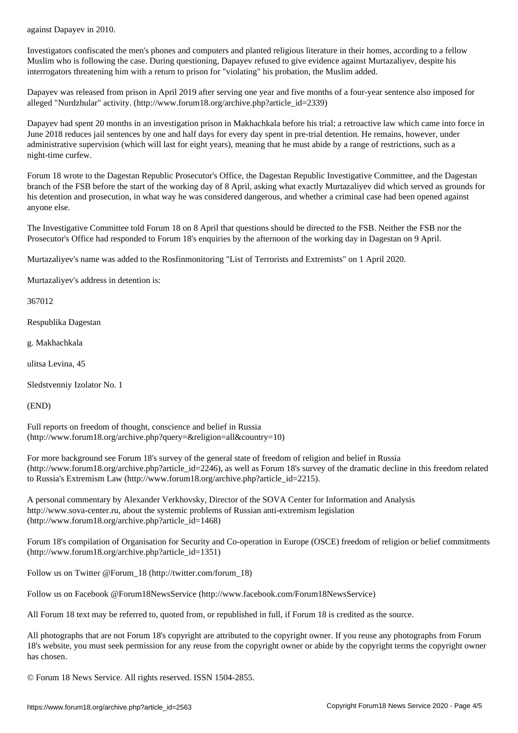Investigators confiscated the men's phones and computers and planted religious literature in their homes, according to a fellow Muslim who is following the case. During questioning, Dapayev refused to give evidence against Murtazaliyev, despite his interrogators threatening him with a return to prison for "violating" his probation, the Muslim added.

Dapayev was released from prison in April 2019 after serving one year and five months of a four-year sentence also imposed for alleged "Nurdzhular" activity. (http://www.forum18.org/archive.php?article\_id=2339)

Dapayev had spent 20 months in an investigation prison in Makhachkala before his trial; a retroactive law which came into force in June 2018 reduces jail sentences by one and half days for every day spent in pre-trial detention. He remains, however, under administrative supervision (which will last for eight years), meaning that he must abide by a range of restrictions, such as a night-time curfew.

Forum 18 wrote to the Dagestan Republic Prosecutor's Office, the Dagestan Republic Investigative Committee, and the Dagestan branch of the FSB before the start of the working day of 8 April, asking what exactly Murtazaliyev did which served as grounds for his detention and prosecution, in what way he was considered dangerous, and whether a criminal case had been opened against anyone else.

The Investigative Committee told Forum 18 on 8 April that questions should be directed to the FSB. Neither the FSB nor the Prosecutor's Office had responded to Forum 18's enquiries by the afternoon of the working day in Dagestan on 9 April.

Murtazaliyev's name was added to the Rosfinmonitoring "List of Terrorists and Extremists" on 1 April 2020.

Murtazaliyev's address in detention is:

367012

Respublika Dagestan

g. Makhachkala

ulitsa Levina, 45

Sledstvenniy Izolator No. 1

(END)

Full reports on freedom of thought, conscience and belief in Russia (http://www.forum18.org/archive.php?query=&religion=all&country=10)

For more background see Forum 18's survey of the general state of freedom of religion and belief in Russia (http://www.forum18.org/archive.php?article\_id=2246), as well as Forum 18's survey of the dramatic decline in this freedom related to Russia's Extremism Law (http://www.forum18.org/archive.php?article\_id=2215).

A personal commentary by Alexander Verkhovsky, Director of the SOVA Center for Information and Analysis http://www.sova-center.ru, about the systemic problems of Russian anti-extremism legislation (http://www.forum18.org/archive.php?article\_id=1468)

Forum 18's compilation of Organisation for Security and Co-operation in Europe (OSCE) freedom of religion or belief commitments (http://www.forum18.org/archive.php?article\_id=1351)

Follow us on Twitter @Forum\_18 (http://twitter.com/forum\_18)

Follow us on Facebook @Forum18NewsService (http://www.facebook.com/Forum18NewsService)

All Forum 18 text may be referred to, quoted from, or republished in full, if Forum 18 is credited as the source.

All photographs that are not Forum 18's copyright are attributed to the copyright owner. If you reuse any photographs from Forum 18's website, you must seek permission for any reuse from the copyright owner or abide by the copyright terms the copyright owner has chosen.

© Forum 18 News Service. All rights reserved. ISSN 1504-2855.